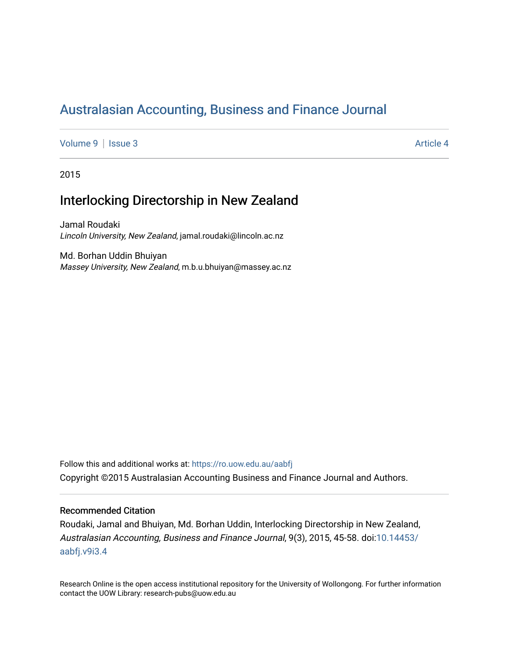# [Australasian Accounting, Business and Finance Journal](https://ro.uow.edu.au/aabfj)

[Volume 9](https://ro.uow.edu.au/aabfj/vol9) | [Issue 3](https://ro.uow.edu.au/aabfj/vol9/iss3) Article 4

2015

# Interlocking Directorship in New Zealand

Jamal Roudaki Lincoln University, New Zealand, jamal.roudaki@lincoln.ac.nz

Md. Borhan Uddin Bhuiyan Massey University, New Zealand, m.b.u.bhuiyan@massey.ac.nz

Follow this and additional works at: [https://ro.uow.edu.au/aabfj](https://ro.uow.edu.au/aabfj?utm_source=ro.uow.edu.au%2Faabfj%2Fvol9%2Fiss3%2F4&utm_medium=PDF&utm_campaign=PDFCoverPages) Copyright ©2015 Australasian Accounting Business and Finance Journal and Authors.

#### Recommended Citation

Roudaki, Jamal and Bhuiyan, Md. Borhan Uddin, Interlocking Directorship in New Zealand, Australasian Accounting, Business and Finance Journal, 9(3), 2015, 45-58. doi:[10.14453/](http://dx.doi.org/10.14453/aabfj.v9i3.4) [aabfj.v9i3.4](http://dx.doi.org/10.14453/aabfj.v9i3.4) 

Research Online is the open access institutional repository for the University of Wollongong. For further information contact the UOW Library: research-pubs@uow.edu.au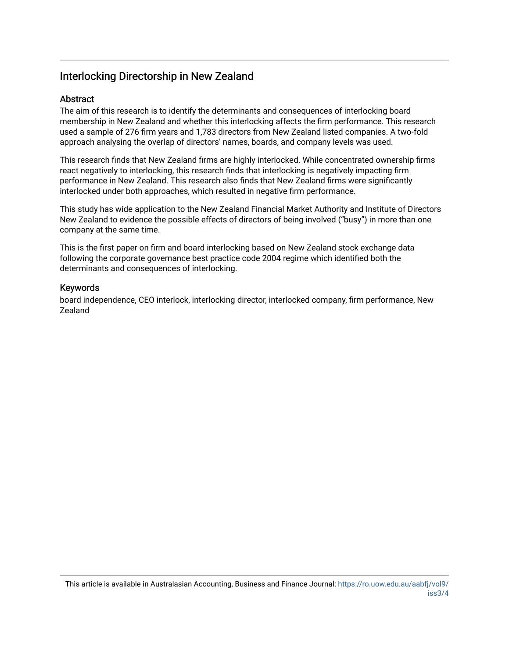# Interlocking Directorship in New Zealand

# **Abstract**

The aim of this research is to identify the determinants and consequences of interlocking board membership in New Zealand and whether this interlocking affects the firm performance. This research used a sample of 276 firm years and 1,783 directors from New Zealand listed companies. A two-fold approach analysing the overlap of directors' names, boards, and company levels was used.

This research finds that New Zealand firms are highly interlocked. While concentrated ownership firms react negatively to interlocking, this research finds that interlocking is negatively impacting firm performance in New Zealand. This research also finds that New Zealand firms were significantly interlocked under both approaches, which resulted in negative firm performance.

This study has wide application to the New Zealand Financial Market Authority and Institute of Directors New Zealand to evidence the possible effects of directors of being involved ("busy") in more than one company at the same time.

This is the first paper on firm and board interlocking based on New Zealand stock exchange data following the corporate governance best practice code 2004 regime which identified both the determinants and consequences of interlocking.

## Keywords

board independence, CEO interlock, interlocking director, interlocked company, firm performance, New Zealand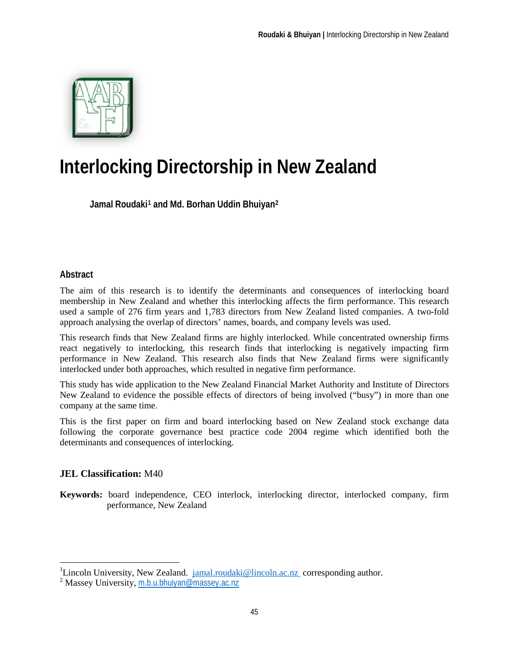

# **Interlocking Directorship in New Zealand**

**Jamal Roudaki[1](#page-2-0) and Md. Borhan Uddin Bhuiya[n2](#page-2-1)**

# **Abstract**

The aim of this research is to identify the determinants and consequences of interlocking board membership in New Zealand and whether this interlocking affects the firm performance. This research used a sample of 276 firm years and 1,783 directors from New Zealand listed companies. A two-fold approach analysing the overlap of directors' names, boards, and company levels was used.

This research finds that New Zealand firms are highly interlocked. While concentrated ownership firms react negatively to interlocking, this research finds that interlocking is negatively impacting firm performance in New Zealand. This research also finds that New Zealand firms were significantly interlocked under both approaches, which resulted in negative firm performance.

This study has wide application to the New Zealand Financial Market Authority and Institute of Directors New Zealand to evidence the possible effects of directors of being involved ("busy") in more than one company at the same time.

This is the first paper on firm and board interlocking based on New Zealand stock exchange data following the corporate governance best practice code 2004 regime which identified both the determinants and consequences of interlocking.

# **JEL Classification:** M40

 $\overline{\phantom{a}}$ 

**Keywords:** board independence, CEO interlock, interlocking director, interlocked company, firm performance, New Zealand

<span id="page-2-0"></span><sup>&</sup>lt;sup>1</sup>Lincoln University, New Zealand. [jamal.roudaki@lincoln.ac.nz](mailto:jamal.roudaki@lincoln.ac.nz) corresponding author.

<span id="page-2-1"></span><sup>2</sup> Massey University, [m.b.u.bhuiyan@massey.ac.nz](mailto:m.b.u.bhuiyan@massey.ac.nz)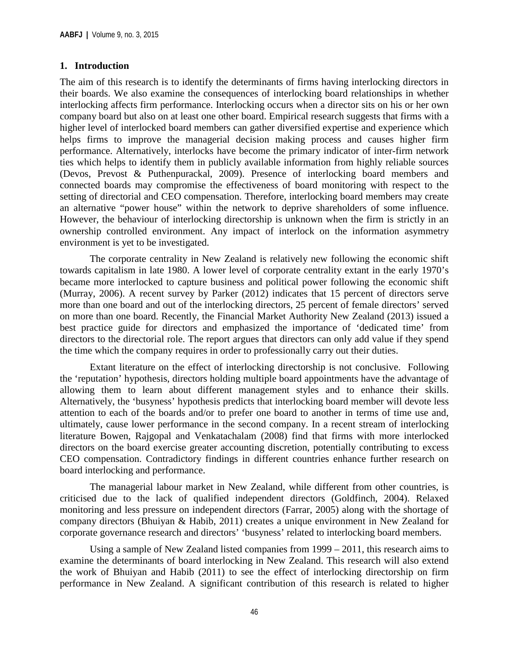# **1. Introduction**

The aim of this research is to identify the determinants of firms having interlocking directors in their boards. We also examine the consequences of interlocking board relationships in whether interlocking affects firm performance. Interlocking occurs when a director sits on his or her own company board but also on at least one other board. Empirical research suggests that firms with a higher level of interlocked board members can gather diversified expertise and experience which helps firms to improve the managerial decision making process and causes higher firm performance. Alternatively, interlocks have become the primary indicator of inter-firm network ties which helps to identify them in publicly available information from highly reliable sources (Devos, Prevost & Puthenpurackal, 2009). Presence of interlocking board members and connected boards may compromise the effectiveness of board monitoring with respect to the setting of directorial and CEO compensation. Therefore, interlocking board members may create an alternative "power house" within the network to deprive shareholders of some influence. However, the behaviour of interlocking directorship is unknown when the firm is strictly in an ownership controlled environment. Any impact of interlock on the information asymmetry environment is yet to be investigated.

The corporate centrality in New Zealand is relatively new following the economic shift towards capitalism in late 1980. A lower level of corporate centrality extant in the early 1970's became more interlocked to capture business and political power following the economic shift (Murray, 2006). A recent survey by Parker (2012) indicates that 15 percent of directors serve more than one board and out of the interlocking directors, 25 percent of female directors' served on more than one board. Recently, the Financial Market Authority New Zealand (2013) issued a best practice guide for directors and emphasized the importance of 'dedicated time' from directors to the directorial role. The report argues that directors can only add value if they spend the time which the company requires in order to professionally carry out their duties.

Extant literature on the effect of interlocking directorship is not conclusive. Following the 'reputation' hypothesis, directors holding multiple board appointments have the advantage of allowing them to learn about different management styles and to enhance their skills. Alternatively, the 'busyness' hypothesis predicts that interlocking board member will devote less attention to each of the boards and/or to prefer one board to another in terms of time use and, ultimately, cause lower performance in the second company. In a recent stream of interlocking literature Bowen, Rajgopal and Venkatachalam (2008) find that firms with more interlocked directors on the board exercise greater accounting discretion, potentially contributing to excess CEO compensation. Contradictory findings in different countries enhance further research on board interlocking and performance.

The managerial labour market in New Zealand, while different from other countries, is criticised due to the lack of qualified independent directors (Goldfinch, 2004). Relaxed monitoring and less pressure on independent directors (Farrar, 2005) along with the shortage of company directors (Bhuiyan & Habib, 2011) creates a unique environment in New Zealand for corporate governance research and directors' 'busyness' related to interlocking board members.

Using a sample of New Zealand listed companies from 1999 – 2011, this research aims to examine the determinants of board interlocking in New Zealand. This research will also extend the work of Bhuiyan and Habib (2011) to see the effect of interlocking directorship on firm performance in New Zealand. A significant contribution of this research is related to higher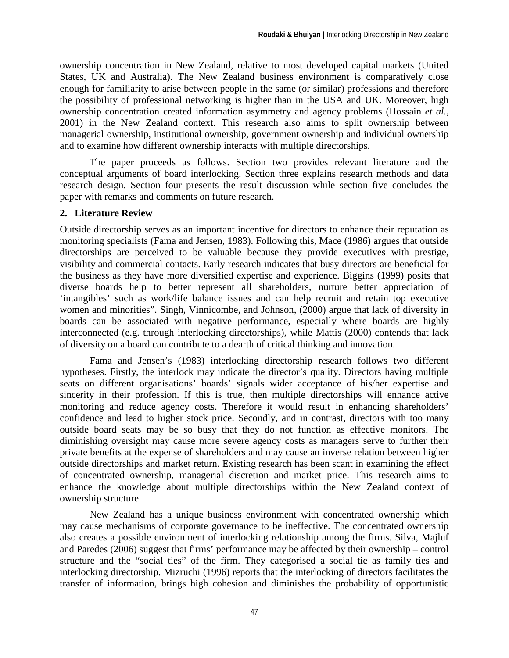ownership concentration in New Zealand, relative to most developed capital markets (United States, UK and Australia). The New Zealand business environment is comparatively close enough for familiarity to arise between people in the same (or similar) professions and therefore the possibility of professional networking is higher than in the USA and UK. Moreover, high ownership concentration created information asymmetry and agency problems (Hossain *et al.*, 2001) in the New Zealand context. This research also aims to split ownership between managerial ownership, institutional ownership, government ownership and individual ownership and to examine how different ownership interacts with multiple directorships.

The paper proceeds as follows. Section two provides relevant literature and the conceptual arguments of board interlocking. Section three explains research methods and data research design. Section four presents the result discussion while section five concludes the paper with remarks and comments on future research.

# **2. Literature Review**

Outside directorship serves as an important incentive for directors to enhance their reputation as monitoring specialists (Fama and Jensen, 1983). Following this, Mace (1986) argues that outside directorships are perceived to be valuable because they provide executives with prestige, visibility and commercial contacts. Early research indicates that busy directors are beneficial for the business as they have more diversified expertise and experience. Biggins (1999) posits that diverse boards help to better represent all shareholders, nurture better appreciation of 'intangibles' such as work/life balance issues and can help recruit and retain top executive women and minorities". Singh, Vinnicombe, and Johnson, (2000) argue that lack of diversity in boards can be associated with negative performance, especially where boards are highly interconnected (e.g. through interlocking directorships), while Mattis (2000) contends that lack of diversity on a board can contribute to a dearth of critical thinking and innovation.

Fama and Jensen's (1983) interlocking directorship research follows two different hypotheses. Firstly, the interlock may indicate the director's quality. Directors having multiple seats on different organisations' boards' signals wider acceptance of his/her expertise and sincerity in their profession. If this is true, then multiple directorships will enhance active monitoring and reduce agency costs. Therefore it would result in enhancing shareholders' confidence and lead to higher stock price. Secondly, and in contrast, directors with too many outside board seats may be so busy that they do not function as effective monitors. The diminishing oversight may cause more severe agency costs as managers serve to further their private benefits at the expense of shareholders and may cause an inverse relation between higher outside directorships and market return. Existing research has been scant in examining the effect of concentrated ownership, managerial discretion and market price. This research aims to enhance the knowledge about multiple directorships within the New Zealand context of ownership structure.

New Zealand has a unique business environment with concentrated ownership which may cause mechanisms of corporate governance to be ineffective. The concentrated ownership also creates a possible environment of interlocking relationship among the firms. Silva, Majluf and Paredes (2006) suggest that firms' performance may be affected by their ownership – control structure and the "social ties" of the firm. They categorised a social tie as family ties and interlocking directorship. Mizruchi (1996) reports that the interlocking of directors facilitates the transfer of information, brings high cohesion and diminishes the probability of opportunistic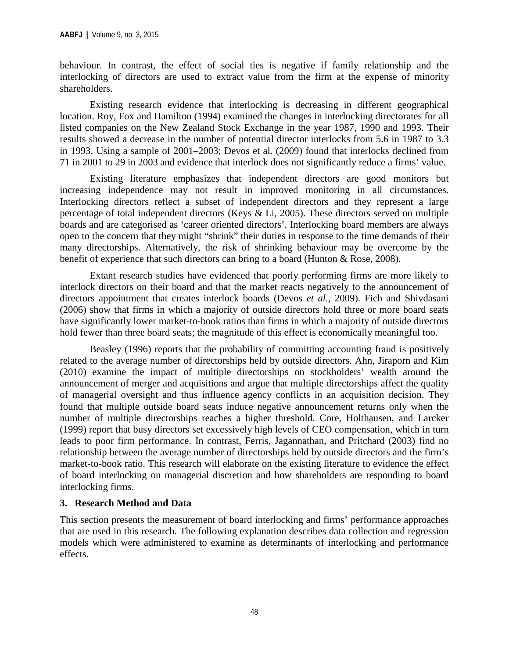behaviour. In contrast, the effect of social ties is negative if family relationship and the interlocking of directors are used to extract value from the firm at the expense of minority shareholders.

Existing research evidence that interlocking is decreasing in different geographical location. Roy, Fox and Hamilton (1994) examined the changes in interlocking directorates for all listed companies on the New Zealand Stock Exchange in the year 1987, 1990 and 1993. Their results showed a decrease in the number of potential director interlocks from 5.6 in 1987 to 3.3 in 1993. Using a sample of 2001–2003; Devos et al. (2009) found that interlocks declined from 71 in 2001 to 29 in 2003 and evidence that interlock does not significantly reduce a firms' value.

Existing literature emphasizes that independent directors are good monitors but increasing independence may not result in improved monitoring in all circumstances. Interlocking directors reflect a subset of independent directors and they represent a large percentage of total independent directors (Keys & Li, 2005). These directors served on multiple boards and are categorised as 'career oriented directors'. Interlocking board members are always open to the concern that they might "shrink" their duties in response to the time demands of their many directorships. Alternatively, the risk of shrinking behaviour may be overcome by the benefit of experience that such directors can bring to a board (Hunton & Rose, 2008).

Extant research studies have evidenced that poorly performing firms are more likely to interlock directors on their board and that the market reacts negatively to the announcement of directors appointment that creates interlock boards (Devos *et al.*, 2009). Fich and Shivdasani (2006) show that firms in which a majority of outside directors hold three or more board seats have significantly lower market-to-book ratios than firms in which a majority of outside directors hold fewer than three board seats; the magnitude of this effect is economically meaningful too.

Beasley (1996) reports that the probability of committing accounting fraud is positively related to the average number of directorships held by outside directors. Ahn, Jiraporn and Kim (2010) examine the impact of multiple directorships on stockholders' wealth around the announcement of merger and acquisitions and argue that multiple directorships affect the quality of managerial oversight and thus influence agency conflicts in an acquisition decision. They found that multiple outside board seats induce negative announcement returns only when the number of multiple directorships reaches a higher threshold. Core, Holthausen, and Larcker (1999) report that busy directors set excessively high levels of CEO compensation, which in turn leads to poor firm performance. In contrast, Ferris, Jagannathan, and Pritchard (2003) find no relationship between the average number of directorships held by outside directors and the firm's market-to-book ratio. This research will elaborate on the existing literature to evidence the effect of board interlocking on managerial discretion and how shareholders are responding to board interlocking firms.

# **3. Research Method and Data**

This section presents the measurement of board interlocking and firms' performance approaches that are used in this research. The following explanation describes data collection and regression models which were administered to examine as determinants of interlocking and performance effects.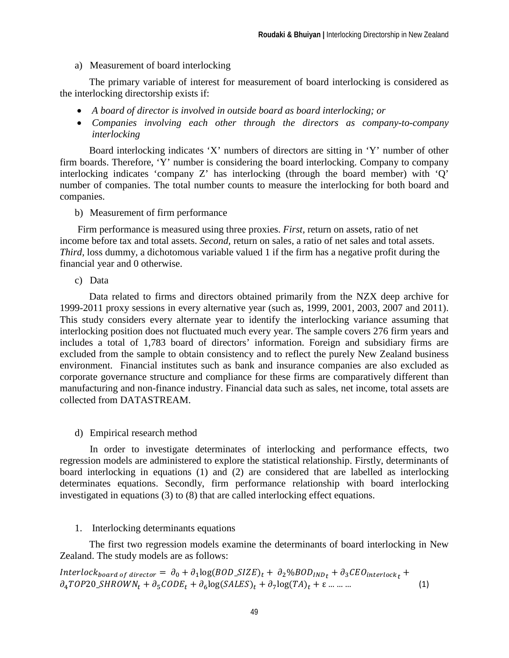#### a) Measurement of board interlocking

The primary variable of interest for measurement of board interlocking is considered as the interlocking directorship exists if:

- *A board of director is involved in outside board as board interlocking; or*
- *Companies involving each other through the directors as company-to-company interlocking*

Board interlocking indicates 'X' numbers of directors are sitting in 'Y' number of other firm boards. Therefore, 'Y' number is considering the board interlocking. Company to company interlocking indicates 'company Z' has interlocking (through the board member) with 'Q' number of companies. The total number counts to measure the interlocking for both board and companies.

b) Measurement of firm performance

Firm performance is measured using three proxies. *First,* return on assets, ratio of net income before tax and total assets. *Second,* return on sales*,* a ratio of net sales and total assets. *Third,* loss dummy*,* a dichotomous variable valued 1 if the firm has a negative profit during the financial year and 0 otherwise.

c) Data

Data related to firms and directors obtained primarily from the NZX deep archive for 1999-2011 proxy sessions in every alternative year (such as, 1999, 2001, 2003, 2007 and 2011). This study considers every alternate year to identify the interlocking variance assuming that interlocking position does not fluctuated much every year. The sample covers 276 firm years and includes a total of 1,783 board of directors' information. Foreign and subsidiary firms are excluded from the sample to obtain consistency and to reflect the purely New Zealand business environment. Financial institutes such as bank and insurance companies are also excluded as corporate governance structure and compliance for these firms are comparatively different than manufacturing and non-finance industry. Financial data such as sales, net income, total assets are collected from DATASTREAM.

d) Empirical research method

In order to investigate determinates of interlocking and performance effects, two regression models are administered to explore the statistical relationship. Firstly, determinants of board interlocking in equations (1) and (2) are considered that are labelled as interlocking determinates equations. Secondly, firm performance relationship with board interlocking investigated in equations (3) to (8) that are called interlocking effect equations.

1. Interlocking determinants equations

The first two regression models examine the determinants of board interlocking in New Zealand. The study models are as follows:

Interlock<sub>board</sub> of director =  $\partial_0 + \partial_1 \log(BOD\_SIZE)_t + \partial_2 \% BOD_{IND_t} + \partial_3 CEO_{interlock_t} +$  $\partial_4 TOP20\_SHROWN_t + \partial_5 CODE_t + \partial_6 \log(SALES)_t + \partial_7 \log(TA)_t + \varepsilon \dots \dots$  (1)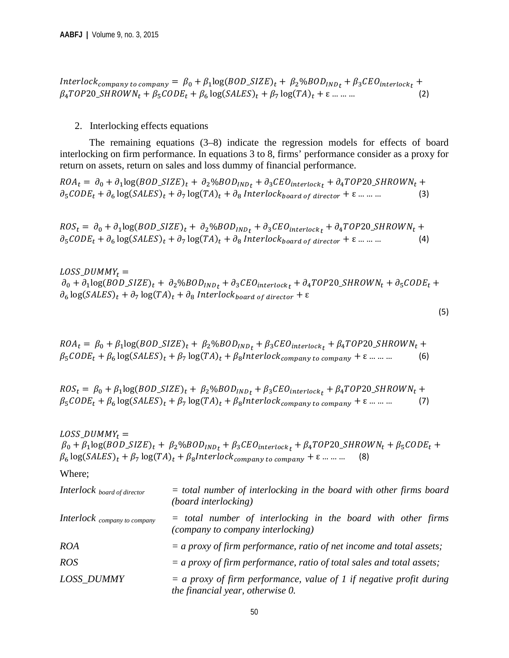Interlock<sub>company</sub> to company =  $\beta_0 + \beta_1 \log(BOD\_SIZE)_t + \beta_2 \% BOD_{IND} + \beta_3 CEO_{interlock} +$  $\beta_4 TOP20\_SHROWN_t + \beta_5 CODE_t + \beta_6 \log(SALES)_t + \beta_7 \log(TA)_t + \varepsilon \dots \dots$  (2)

2. Interlocking effects equations

The remaining equations  $(3-8)$  indicate the regression models for effects of board interlocking on firm performance. In equations 3 to 8, firms' performance consider as a proxy for return on assets, return on sales and loss dummy of financial performance.

 $ROA_t = \partial_0 + \partial_1 \log(BOD\_SIZE)_t + \partial_2 \% BOD_{IND_t} + \partial_3 CEO_{interlock_t} + \partial_4 TOP20\_SHROWN_t +$  $\partial_5 CODE_t + \partial_6 \log(SALES)_t + \partial_7 \log(TA)_t + \partial_8 \text{ Interlock}$  board of director  $+ \varepsilon$  ... ... ... (3)

 $ROS_t = \partial_0 + \partial_1 \log(BOD\_SIZE)_t + \partial_2 \% BOD_{IND_t} + \partial_3 CEO_{interlock_t} + \partial_4 TOP20\_SHROWN_t +$  $\partial_5 CODE_t + \partial_6 \log(SALES)_t + \partial_7 \log(TA)_t + \partial_8 \text{ Interlock}_{board\ of\ director} + \varepsilon \dots \dots$  (4)

LOSS DUMMY<sub>t</sub> =  $\partial_0 + \partial_1 \log(BOD\_SIZE)_t + \partial_2 \% BOD_{IND_t} + \partial_3 CEO_{interlock_t} + \partial_4 TOP20\_SHROWN_t + \partial_5 CODE_t +$  $\partial_6 \log(SALES)_t + \partial_7 \log(TA)_t + \partial_8 \text{ Interlock}_{board\ of\ director} + \varepsilon$ 

(5)

 $ROA_t = \beta_0 + \beta_1 \log(BOD\_SIZE)_t + \beta_2 \% BOD_{IND_t} + \beta_3 CEO_{interlock_t} + \beta_4 TOP20\_SHROWN_t +$  $\beta_5 \text{CODE}_t + \beta_6 \log(\text{SALES})_t + \beta_7 \log(\text{TA})_t + \beta_8 \text{Interlock}_{\text{common} \times \text{to} \text{ common}} + \varepsilon \dots \dots$  (6)

 $ROS_t = \beta_0 + \beta_1 \log(BOD\_SIZE)_t + \beta_2 \% BOD_{IND_t} + \beta_3 CEO_{interlock_t} + \beta_4 TOP20\_SHROWN_t +$  $\beta_5 \text{CODE}_t + \beta_6 \log(\text{SALES})_t + \beta_7 \log(\text{TA})_t + \beta_8 \text{Interlock}_{\text{company to company}} + \varepsilon \dots \dots$  (7)

 $LOS_DUMMY_t =$  $\beta_0 + \beta_1 \log(BOD\_SIZE)_t + \beta_2 \% BOD_{IND_t} + \beta_3 CEO_{interlock_t} + \beta_4 TOP20\_SHROWN_t + \beta_5 CODE_t +$  $\beta_6 \log(SALES)_t + \beta_7 \log(TA)_t + \beta_8 Interlock_{common\,to\,common} + \varepsilon$  ... ... (8)

Where;

| <b>Interlock</b> board of director | $=$ total number of interlocking in the board with other firms board<br><i>(board interlocking)</i>       |
|------------------------------------|-----------------------------------------------------------------------------------------------------------|
| Interlock company to company       | $=$ total number of interlocking in the board with other firms<br>(company to company interlocking)       |
| <b>ROA</b>                         | $=$ a proxy of firm performance, ratio of net income and total assets;                                    |
| ROS                                | $=$ a proxy of firm performance, ratio of total sales and total assets;                                   |
| <b>LOSS DUMMY</b>                  | $=$ a proxy of firm performance, value of 1 if negative profit during<br>the financial year, otherwise 0. |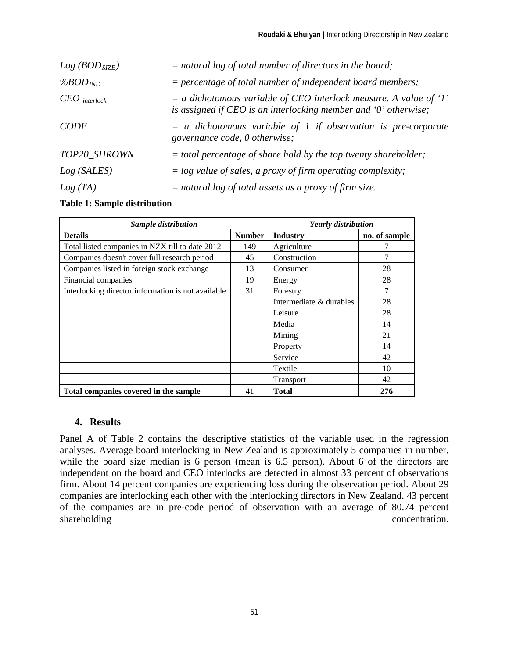| $Log (BOD_{SIZE})$ | $=$ natural log of total number of directors in the board;                                                                             |
|--------------------|----------------------------------------------------------------------------------------------------------------------------------------|
| $%BOD_{IND}$       | $=$ percentage of total number of independent board members;                                                                           |
| $CEO$ interlock    | $=$ a dichotomous variable of CEO interlock measure. A value of '1'<br>is assigned if CEO is an interlocking member and '0' otherwise; |
| <b>CODE</b>        | $=$ a dichotomous variable of 1 if observation is pre-corporate<br>governance code, 0 otherwise;                                       |
| TOP20_SHROWN       | $=$ total percentage of share hold by the top twenty shareholder;                                                                      |
| Log(SALES)         | $=$ log value of sales, a proxy of firm operating complexity;                                                                          |
| Log(TA)            | $=$ natural log of total assets as a proxy of firm size.                                                                               |

**Table 1: Sample distribution**

| Sample distribution                                | <b>Yearly distribution</b> |                         |               |  |
|----------------------------------------------------|----------------------------|-------------------------|---------------|--|
| <b>Details</b>                                     | <b>Number</b>              | Industry                | no. of sample |  |
| Total listed companies in NZX till to date 2012    | 149                        | Agriculture             |               |  |
| Companies doesn't cover full research period       | 45                         | Construction            | 7             |  |
| Companies listed in foreign stock exchange         | 13                         | Consumer                | 28            |  |
| Financial companies                                | 19                         | Energy                  | 28            |  |
| Interlocking director information is not available | 31                         | Forestry                | 7             |  |
|                                                    |                            | Intermediate & durables | 28            |  |
|                                                    |                            | Leisure                 | 28            |  |
|                                                    |                            | Media                   | 14            |  |
|                                                    |                            | Mining                  | 21            |  |
|                                                    |                            | Property                | 14            |  |
|                                                    |                            | Service                 | 42            |  |
|                                                    |                            | Textile                 | 10            |  |
|                                                    |                            | <b>Transport</b>        | 42            |  |
| Total companies covered in the sample              | 41                         | <b>Total</b>            | 276           |  |

# **4. Results**

Panel A of Table 2 contains the descriptive statistics of the variable used in the regression analyses. Average board interlocking in New Zealand is approximately 5 companies in number, while the board size median is 6 person (mean is 6.5 person). About 6 of the directors are independent on the board and CEO interlocks are detected in almost 33 percent of observations firm. About 14 percent companies are experiencing loss during the observation period. About 29 companies are interlocking each other with the interlocking directors in New Zealand. 43 percent of the companies are in pre-code period of observation with an average of 80.74 percent shareholding concentration.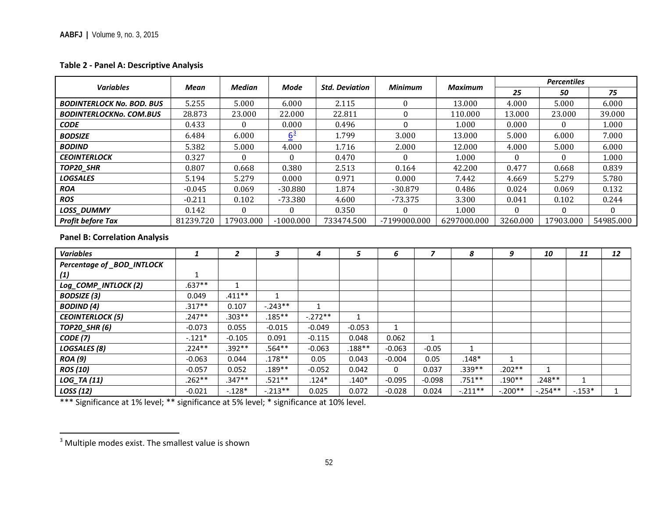# <span id="page-9-0"></span>**Table 2 - Panel A: Descriptive Analysis**

| <b>Variables</b>                     |              | <b>Median</b><br><b>Mode</b><br><b>Std. Deviation</b><br>Mean |                   | <b>Minimum</b> |              | <b>Maximum</b> | <b>Percentiles</b> |              |           |              |           |              |
|--------------------------------------|--------------|---------------------------------------------------------------|-------------------|----------------|--------------|----------------|--------------------|--------------|-----------|--------------|-----------|--------------|
|                                      |              |                                                               |                   |                |              |                |                    |              | 25        | 50           |           | 75           |
| <b>BODINTERLOCK No. BOD. BUS</b>     | 5.255        | 5.000                                                         | 6.000             |                | 2.115        | $\mathbf{0}$   |                    | 13.000       | 4.000     | 5.000        |           | 6.000        |
| <b>BODINTERLOCKNo. COM.BUS</b>       | 28.873       | 23.000                                                        | 22.000            |                | 22.811       | 0              |                    | 110.000      | 13.000    | 23.000       |           | 39.000       |
| <b>CODE</b>                          | 0.433        | $\Omega$                                                      | 0.000             |                | 0.496        | $\Omega$       |                    | 1.000        | 0.000     | $\Omega$     |           | 1.000        |
| <b>BODSIZE</b>                       | 6.484        | 6.000                                                         | $6^{\frac{3}{2}}$ |                | 1.799        | 3.000          |                    | 13.000       | 5.000     | 6.000        |           | 7.000        |
| <b>BODIND</b>                        | 5.382        | 5.000                                                         | 4.000             |                | 1.716        | 2.000          |                    | 12.000       | 4.000     | 5.000        |           | 6.000        |
| <b>CEOINTERLOCK</b>                  | 0.327        | $\Omega$                                                      | $\theta$          |                | 0.470        | $\Omega$       |                    | 1.000        | $\Omega$  | $\Omega$     |           | 1.000        |
| TOP20 SHR                            | 0.807        | 0.668                                                         | 0.380             |                | 2.513        | 0.164          |                    | 42.200       | 0.477     | 0.668        |           | 0.839        |
| <b>LOGSALES</b>                      | 5.194        | 5.279                                                         | 0.000             |                | 0.971        | 0.000          |                    | 7.442        | 4.669     | 5.279        |           | 5.780        |
| <b>ROA</b>                           | $-0.045$     | 0.069                                                         | $-30.880$         |                | 1.874        | $-30.879$      |                    | 0.486        | 0.024     | 0.069        |           | 0.132        |
| <b>ROS</b>                           | $-0.211$     | 0.102                                                         | $-73.380$         |                | 4.600        | $-73.375$      |                    | 3.300        | 0.041     | 0.102        |           | 0.244        |
| <b>LOSS_DUMMY</b>                    | 0.142        | $\Omega$                                                      | $\boldsymbol{0}$  |                | 0.350        | 0              |                    | 1.000        | $\Omega$  | $\Omega$     |           | $\Omega$     |
| <b>Profit before Tax</b>             | 81239.720    | 17903.000                                                     | $-1000.000$       |                | 733474.500   | -7199000.000   |                    | 6297000.000  | 3260.000  | 17903.000    |           | 54985.000    |
| <b>Panel B: Correlation Analysis</b> |              |                                                               |                   |                |              |                |                    |              |           |              |           |              |
| <b>Variables</b>                     | $\mathbf{1}$ | $\overline{2}$                                                | 3                 | $\overline{4}$ | 5            | 6              | $\overline{z}$     | 8            | 9         | 10           | 11        | 12           |
| Percentage of _BOD_INTLOCK           |              |                                                               |                   |                |              |                |                    |              |           |              |           |              |
| (1)                                  | 1            |                                                               |                   |                |              |                |                    |              |           |              |           |              |
| Log_COMP_INTLOCK (2)                 | $.637**$     | $\mathbf{1}$                                                  |                   |                |              |                |                    |              |           |              |           |              |
| <b>BODSIZE</b> (3)                   | 0.049        | $.411**$                                                      | 1                 |                |              |                |                    |              |           |              |           |              |
| <b>BODIND</b> (4)                    | $.317**$     | 0.107                                                         | $-.243**$         | $\mathbf{1}$   |              |                |                    |              |           |              |           |              |
| <b>CEOINTERLOCK (5)</b>              | $.247**$     | $.303**$                                                      | $.185***$         | $-.272**$      | $\mathbf{1}$ |                |                    |              |           |              |           |              |
| <b>TOP20_SHR (6)</b>                 | $-0.073$     | 0.055                                                         | $-0.015$          | $-0.049$       | $-0.053$     | $\mathbf{1}$   |                    |              |           |              |           |              |
| <b>CODE</b> (7)                      | $-.121*$     | $-0.105$                                                      | 0.091             | $-0.115$       | 0.048        | 0.062          | 1                  |              |           |              |           |              |
| LOGSALES (8)                         | $.224**$     | $.392**$                                                      | $.564**$          | $-0.063$       | $.188**$     | $-0.063$       | $-0.05$            | $\mathbf{1}$ |           |              |           |              |
| <b>ROA</b> (9)                       | $-0.063$     | 0.044                                                         | $.178***$         | 0.05           | 0.043        | $-0.004$       | 0.05               | $.148*$      | 1         |              |           |              |
| <b>ROS (10)</b>                      | $-0.057$     | 0.052                                                         | $.189**$          | $-0.052$       | 0.042        | $\Omega$       | 0.037              | $.339**$     | $.202**$  | $\mathbf{1}$ |           |              |
| LOG_TA (11)                          | $.262**$     | $.347**$                                                      | .521**            | $.124*$        | $.140*$      | $-0.095$       | $-0.098$           | $.751**$     | $.190**$  | $.248**$     | 1         |              |
| <b>LOSS</b> (12)                     | $-0.021$     | $-.128*$                                                      | $-.213**$         | 0.025          | 0.072        | $-0.028$       | 0.024              | $-.211**$    | $-.200**$ | $-.254**$    | $-0.153*$ | $\mathbf{1}$ |

\*\*\* Significance at 1% level; \*\* significance at 5% level; \* significance at 10% level.

<sup>&</sup>lt;sup>3</sup> Multiple modes exist. The smallest value is shown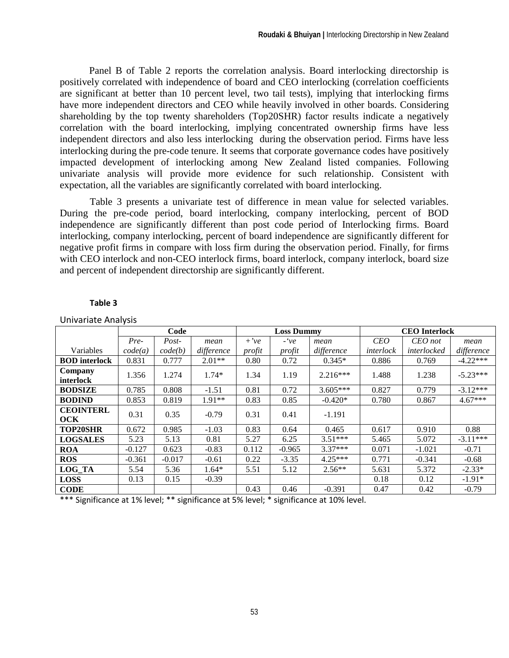Panel B of Table 2 reports the correlation analysis. Board interlocking directorship is positively correlated with independence of board and CEO interlocking (correlation coefficients are significant at better than 10 percent level, two tail tests), implying that interlocking firms have more independent directors and CEO while heavily involved in other boards. Considering shareholding by the top twenty shareholders (Top20SHR) factor results indicate a negatively correlation with the board interlocking, implying concentrated ownership firms have less independent directors and also less interlocking during the observation period. Firms have less interlocking during the pre-code tenure. It seems that corporate governance codes have positively impacted development of interlocking among New Zealand listed companies. Following univariate analysis will provide more evidence for such relationship. Consistent with expectation, all the variables are significantly correlated with board interlocking.

Table 3 presents a univariate test of difference in mean value for selected variables. During the pre-code period, board interlocking, company interlocking, percent of BOD independence are significantly different than post code period of Interlocking firms. Board interlocking, company interlocking, percent of board independence are significantly different for negative profit firms in compare with loss firm during the observation period. Finally, for firms with CEO interlock and non-CEO interlock firms, board interlock, company interlock, board size and percent of independent directorship are significantly different.

#### **Table 3**

|                                | Code     |          |            | <b>Loss Dummy</b> |          |            | <b>CEO</b> Interlock |             |            |  |
|--------------------------------|----------|----------|------------|-------------------|----------|------------|----------------------|-------------|------------|--|
|                                | Pre-     | Post-    | mean       | $+$ 've           | $-$ 've  | mean       | <b>CEO</b>           | $CEO$ not   | mean       |  |
| Variables                      | code(a)  | code(b)  | difference | profit            | profit   | difference | interlock            | interlocked | difference |  |
| <b>BOD</b> interlock           | 0.831    | 0.777    | $2.01**$   | 0.80              | 0.72     | $0.345*$   | 0.886                | 0.769       | $-4.22***$ |  |
| Company<br>interlock           | 1.356    | 1.274    | $1.74*$    | 1.34              | 1.19     | $2.216***$ | 1.488                | 1.238       | $-5.23***$ |  |
| <b>BODSIZE</b>                 | 0.785    | 0.808    | $-1.51$    | 0.81              | 0.72     | $3.605***$ | 0.827                | 0.779       | $-3.12***$ |  |
| <b>BODIND</b>                  | 0.853    | 0.819    | $1.91**$   | 0.83              | 0.85     | $-0.420*$  | 0.780                | 0.867       | $4.67***$  |  |
| <b>CEOINTERL</b><br><b>OCK</b> | 0.31     | 0.35     | $-0.79$    | 0.31              | 0.41     | $-1.191$   |                      |             |            |  |
| <b>TOP20SHR</b>                | 0.672    | 0.985    | $-1.03$    | 0.83              | 0.64     | 0.465      | 0.617                | 0.910       | 0.88       |  |
| <b>LOGSALES</b>                | 5.23     | 5.13     | 0.81       | 5.27              | 6.25     | $3.51***$  | 5.465                | 5.072       | $-3.11***$ |  |
| <b>ROA</b>                     | $-0.127$ | 0.623    | $-0.83$    | 0.112             | $-0.965$ | $3.37***$  | 0.071                | $-1.021$    | $-0.71$    |  |
| <b>ROS</b>                     | $-0.361$ | $-0.017$ | $-0.61$    | 0.22              | $-3.35$  | $4.25***$  | 0.771                | $-0.341$    | $-0.68$    |  |
| LOG TA                         | 5.54     | 5.36     | $1.64*$    | 5.51              | 5.12     | $2.56**$   | 5.631                | 5.372       | $-2.33*$   |  |
| <b>LOSS</b>                    | 0.13     | 0.15     | $-0.39$    |                   |          |            | 0.18                 | 0.12        | $-1.91*$   |  |
| <b>CODE</b>                    |          |          |            | 0.43              | 0.46     | $-0.391$   | 0.47                 | 0.42        | $-0.79$    |  |

Univariate Analysis

\*\*\* Significance at 1% level; \*\* significance at 5% level; \* significance at 10% level.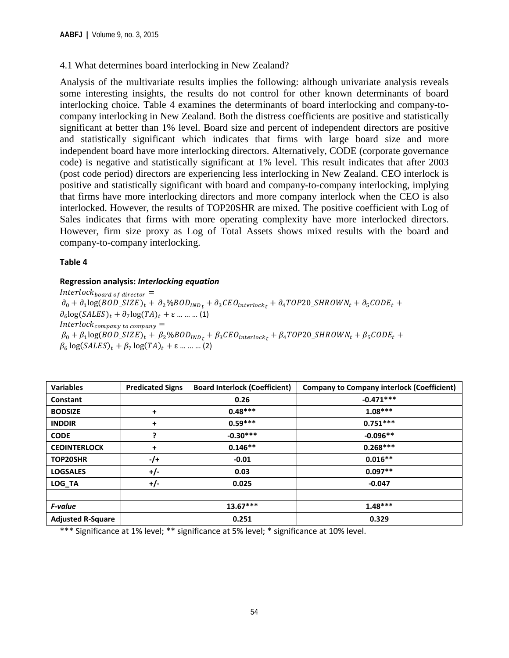# 4.1 What determines board interlocking in New Zealand?

Analysis of the multivariate results implies the following: although univariate analysis reveals some interesting insights, the results do not control for other known determinants of board interlocking choice. Table 4 examines the determinants of board interlocking and company-tocompany interlocking in New Zealand. Both the distress coefficients are positive and statistically significant at better than 1% level. Board size and percent of independent directors are positive and statistically significant which indicates that firms with large board size and more independent board have more interlocking directors. Alternatively, CODE (corporate governance code) is negative and statistically significant at 1% level. This result indicates that after 2003 (post code period) directors are experiencing less interlocking in New Zealand. CEO interlock is positive and statistically significant with board and company-to-company interlocking, implying that firms have more interlocking directors and more company interlock when the CEO is also interlocked. However, the results of TOP20SHR are mixed. The positive coefficient with Log of Sales indicates that firms with more operating complexity have more interlocked directors. However, firm size proxy as Log of Total Assets shows mixed results with the board and company-to-company interlocking.

#### **Table 4**

## **Regression analysis:** *Interlocking equation*

 $Interlock_{board\ of\ director}$  =  $\partial_0 + \partial_1 \log(BOD\_SIZE)_t + \partial_2 \% BOD_{IND_t} + \partial_3 CEO_{interlock_t} + \partial_4 TOP20\_SHROWN_t + \partial_5 CODE_t +$  $\partial_6 \log(SALES)_t + \partial_7 \log(TA)_t + \varepsilon$  … … … (1)  $Interlock_{company\ to\ company}$  =  $\beta_0 + \beta_1 \log(BOD\_SIZE)_t + \beta_2 \% BOD_{IND_t} + \beta_3 CEO_{interlock_t} + \beta_4 TOP20\_SHROWN_t + \beta_5 CODE_t +$  $\beta_6 \log(SALES)_t + \beta_7 \log(TA)_t + \varepsilon$  … … … (2)

| <b>Variables</b>         | <b>Predicated Signs</b> | <b>Board Interlock (Coefficient)</b> | <b>Company to Company interlock (Coefficient)</b> |
|--------------------------|-------------------------|--------------------------------------|---------------------------------------------------|
| Constant                 |                         | 0.26                                 | $-0.471***$                                       |
| <b>BODSIZE</b>           | +                       | $0.48***$                            | $1.08***$                                         |
| <b>INDDIR</b>            | +                       | $0.59***$                            | $0.751***$                                        |
| <b>CODE</b>              |                         | $-0.30***$                           | $-0.096**$                                        |
| <b>CEOINTERLOCK</b>      | +                       | $0.146**$                            | $0.268***$                                        |
| <b>TOP20SHR</b>          | $-$ /+                  | $-0.01$                              | $0.016**$                                         |
| <b>LOGSALES</b>          | $+/-$                   | 0.03                                 | $0.097**$                                         |
| LOG TA                   | $+/-$                   | 0.025                                | $-0.047$                                          |
|                          |                         |                                      |                                                   |
| F-value                  |                         | $13.67***$                           | $1.48***$                                         |
| <b>Adjusted R-Square</b> |                         | 0.251                                | 0.329                                             |

\*\*\* Significance at 1% level; \*\* significance at 5% level; \* significance at 10% level.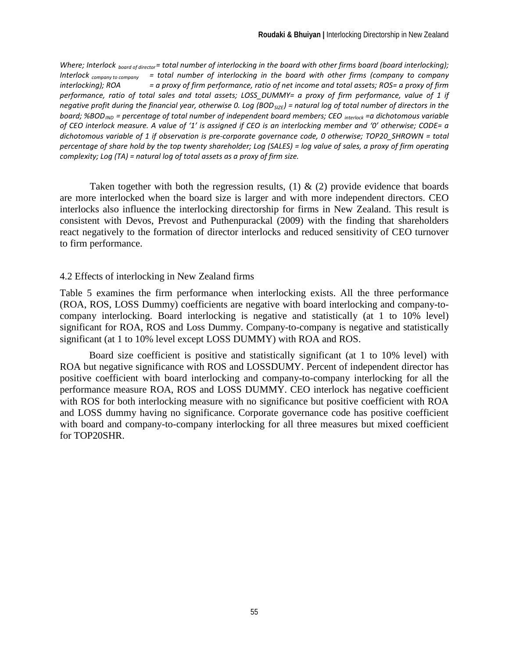Where; Interlock <sub>board of director</sub>= total number of interlocking in the board with other firms board (board interlocking); *Interlock company to company = total number of interlocking in the board with other firms (company to company interlocking); ROA = a proxy of firm performance, ratio of net income and total assets; ROS= a proxy of firm performance, ratio of total sales and total assets; LOSS\_DUMMY= a proxy of firm performance, value of 1 if negative profit during the financial year, otherwise 0. Log (BOD<sub>SIZE</sub>) = natural log of total number of directors in the board; %BOD<sub>IND</sub>* = percentage of total number of independent board members; CEO interlock =a dichotomous variable *of CEO interlock measure. A value of '1' is assigned if CEO is an interlocking member and '0' otherwise; CODE= a dichotomous variable of 1 if observation is pre-corporate governance code, 0 otherwise; TOP20\_SHROWN = total percentage of share hold by the top twenty shareholder; Log (SALES) = log value of sales, a proxy of firm operating complexity; Log (TA) = natural log of total assets as a proxy of firm size.*

Taken together with both the regression results, (1) & (2) provide evidence that boards are more interlocked when the board size is larger and with more independent directors. CEO interlocks also influence the interlocking directorship for firms in New Zealand. This result is consistent with Devos, Prevost and Puthenpurackal (2009) with the finding that shareholders react negatively to the formation of director interlocks and reduced sensitivity of CEO turnover to firm performance.

# 4.2 Effects of interlocking in New Zealand firms

Table 5 examines the firm performance when interlocking exists. All the three performance (ROA, ROS, LOSS Dummy) coefficients are negative with board interlocking and company-tocompany interlocking. Board interlocking is negative and statistically (at 1 to 10% level) significant for ROA, ROS and Loss Dummy. Company-to-company is negative and statistically significant (at 1 to 10% level except LOSS DUMMY) with ROA and ROS.

Board size coefficient is positive and statistically significant (at 1 to 10% level) with ROA but negative significance with ROS and LOSSDUMY. Percent of independent director has positive coefficient with board interlocking and company-to-company interlocking for all the performance measure ROA, ROS and LOSS DUMMY. CEO interlock has negative coefficient with ROS for both interlocking measure with no significance but positive coefficient with ROA and LOSS dummy having no significance. Corporate governance code has positive coefficient with board and company-to-company interlocking for all three measures but mixed coefficient for TOP20SHR.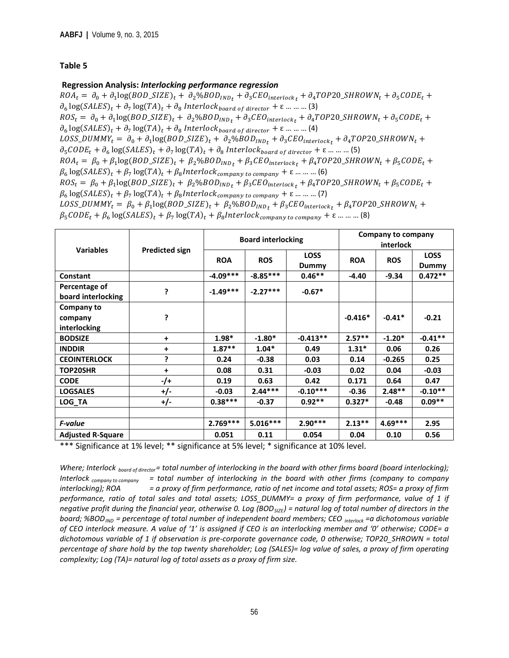#### **Table 5**

#### **Regression Analysis:** *Interlocking performance regression*

 $ROA_t = \partial_0 + \partial_1 log(BOD\_SIZE)_t + \partial_2 \% BOD_{IND_t} + \partial_3 CEO_{interlock_t} + \partial_4 TOP20\_SHROWN_t + \partial_5 CODE_t +$  $\partial_6 \log(SALES)_t + \partial_7 \log(TA)_t + \partial_8 \text{ Interlock}_{board\ of\ director} + \varepsilon \dots \dots \dots (3)$  $ROS_t = \partial_0 + \partial_1 \log(BOD\_SIZE)_t + \partial_2 \% BOD_{IND_t} + \partial_3 CEO_{interlock_t} + \partial_4 TOP20\_SHROWN_t + \partial_5 CODE_t +$  $\partial_\epsilon \log(SALES)_t + \partial_7 \log(TA)_t + \partial_8\ Interlock_{board\ of\ director} + \epsilon \dots \dots \dots (4)$  $Loss\_DUMMY_t = \partial_0 + \partial_1 log(BOD\_SIZE)_t + \partial_2 \% BOD_{IND_t} + \partial_3 CEO_{interlock_t} + \partial_4 TOP20\_SHROWN_t +$  $\partial_5 CODE_t + \partial_6 \log(SALES)_t + \partial_7 \log(TA)_t + \partial_8 \text{ Interlock}_{board\ of\ director} + \varepsilon \dots \dots \dots (5)$  $ROA_t = \beta_0 + \beta_1 \log(BOD\_SIZE)_t + \beta_2 \% BOD_{IND_t} + \beta_3 CEO_{interlock_t} + \beta_4 TOP20\_SHROWN_t + \beta_5 CODE_t +$  $\beta_6 \log(SALES)_t + \beta_7 \log(TA)_t + \beta_8 Interlock_{company\ to\ company} + \varepsilon$  ... ... ... (6)  $ROS_t = \beta_0 + \beta_1 \log(BOD\_SIZE)_t + \beta_2 \% BOD_{IND_t} + \beta_3 CEO_{interlock_t} + \beta_4 TOP20\_SHROWN_t + \beta_5 CODE_t +$  $\beta_6 \log(SALES)_t + \beta_7 \log(TA)_t + \beta_8 Interlock_{company\ to\ company} + \varepsilon \dots \dots \dots (7)$  $Loss\_DUMMY_t = \beta_0 + \beta_1 log(BOD\_SIZE)_t + \beta_2 %BOD_{IND_t} + \beta_3 CEO_{interlock_t} + \beta_4 TOP20\_SHROWN_t +$ 

 $\beta_5 CODE_t + \beta_6 \log(SALES)_t + \beta_7 \log(TA)_t + \beta_8 Interlock_{company\ to\ company} + \varepsilon \dots \dots \dots$  (8)

| <b>Variables</b>                    |                       |            | <b>Board interlocking</b> |                      | Company to company<br>interlock |            |                      |
|-------------------------------------|-----------------------|------------|---------------------------|----------------------|---------------------------------|------------|----------------------|
|                                     | <b>Predicted sign</b> | <b>ROA</b> | <b>ROS</b>                | <b>LOSS</b><br>Dummy | <b>ROA</b>                      | <b>ROS</b> | <b>LOSS</b><br>Dummy |
| Constant                            |                       | $-4.09***$ | $-8.85***$                | $0.46**$             | -4.40                           | -9.34      | $0.472**$            |
| Percentage of<br>board interlocking | ?                     | $-1.49***$ | $-2.27***$                | $-0.67*$             |                                 |            |                      |
| Company to                          |                       |            |                           |                      |                                 |            |                      |
| company                             | 5                     |            |                           |                      | $-0.416*$                       | $-0.41*$   | $-0.21$              |
| interlocking                        |                       |            |                           |                      |                                 |            |                      |
| <b>BODSIZE</b>                      | +                     | $1.98*$    | $-1.80*$                  | $-0.413**$           | $2.57**$                        | $-1.20*$   | $-0.41**$            |
| <b>INDDIR</b>                       | +                     | $1.87**$   | $1.04*$                   | 0.49                 | $1.31*$                         | 0.06       | 0.26                 |
| <b>CEOINTERLOCK</b>                 | 5.                    | 0.24       | $-0.38$                   | 0.03                 | 0.14                            | $-0.265$   | 0.25                 |
| <b>TOP20SHR</b>                     | +                     | 0.08       | 0.31                      | $-0.03$              | 0.02                            | 0.04       | $-0.03$              |
| <b>CODE</b>                         | -/+                   | 0.19       | 0.63                      | 0.42                 | 0.171                           | 0.64       | 0.47                 |
| <b>LOGSALES</b>                     | +/-                   | $-0.03$    | $2.44***$                 | $-0.10***$           | $-0.36$                         | $2.48**$   | $-0.10**$            |
| LOG TA                              | +/-                   | $0.38***$  | $-0.37$                   | $0.92**$             | $0.327*$                        | $-0.48$    | $0.09**$             |
|                                     |                       |            |                           |                      |                                 |            |                      |
| F-value                             |                       | $2.769***$ | $5.016***$                | $2.90***$            | $2.13***$                       | $4.69***$  | 2.95                 |
| <b>Adjusted R-Square</b>            |                       | 0.051      | 0.11                      | 0.054                | 0.04                            | 0.10       | 0.56                 |

\*\*\* Significance at 1% level; \*\* significance at 5% level; \* significance at 10% level.

*Where; Interlock board of director= total number of interlocking in the board with other firms board (board interlocking); Interlock company to company = total number of interlocking in the board with other firms (company to company interlocking); ROA = a proxy of firm performance, ratio of net income and total assets; ROS= a proxy of firm performance, ratio of total sales and total assets; LOSS\_DUMMY= a proxy of firm performance, value of 1 if negative profit during the financial year, otherwise 0. Log (BOD<sub>SIZE</sub>) = natural log of total number of directors in the board; %BOD<sub>IND</sub>* = percentage of total number of independent board members; CEO <sub>interlock</sub> =a dichotomous variable *of CEO interlock measure. A value of '1' is assigned if CEO is an interlocking member and '0' otherwise; CODE= a dichotomous variable of 1 if observation is pre-corporate governance code, 0 otherwise; TOP20\_SHROWN = total percentage of share hold by the top twenty shareholder; Log (SALES)= log value of sales, a proxy of firm operating complexity; Log (TA)= natural log of total assets as a proxy of firm size.*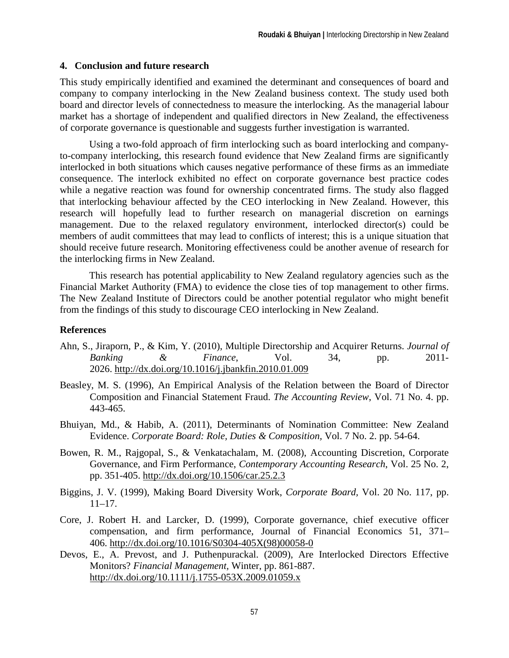# **4. Conclusion and future research**

This study empirically identified and examined the determinant and consequences of board and company to company interlocking in the New Zealand business context. The study used both board and director levels of connectedness to measure the interlocking. As the managerial labour market has a shortage of independent and qualified directors in New Zealand, the effectiveness of corporate governance is questionable and suggests further investigation is warranted.

Using a two-fold approach of firm interlocking such as board interlocking and companyto-company interlocking, this research found evidence that New Zealand firms are significantly interlocked in both situations which causes negative performance of these firms as an immediate consequence. The interlock exhibited no effect on corporate governance best practice codes while a negative reaction was found for ownership concentrated firms. The study also flagged that interlocking behaviour affected by the CEO interlocking in New Zealand. However, this research will hopefully lead to further research on managerial discretion on earnings management. Due to the relaxed regulatory environment, interlocked director(s) could be members of audit committees that may lead to conflicts of interest; this is a unique situation that should receive future research. Monitoring effectiveness could be another avenue of research for the interlocking firms in New Zealand.

This research has potential applicability to New Zealand regulatory agencies such as the Financial Market Authority (FMA) to evidence the close ties of top management to other firms. The New Zealand Institute of Directors could be another potential regulator who might benefit from the findings of this study to discourage CEO interlocking in New Zealand.

# **References**

- Ahn, S., Jiraporn, P., & Kim, Y. (2010), Multiple Directorship and Acquirer Returns. *Journal of Banking & Finance*, Vol. 34, pp. 2011- 2026.<http://dx.doi.org/10.1016/j.jbankfin.2010.01.009>
- Beasley, M. S. (1996), An Empirical Analysis of the Relation between the Board of Director Composition and Financial Statement Fraud. *The Accounting Review*, Vol. 71 No. 4. pp. 443-465.
- Bhuiyan, Md., & Habib, A. (2011), Determinants of Nomination Committee: New Zealand Evidence. *Corporate Board: Role, Duties & Composition,* Vol. 7 No. 2. pp. 54-64.
- Bowen, R. M., Rajgopal, S., & Venkatachalam, M. (2008), Accounting Discretion, Corporate Governance, and Firm Performance, *Contemporary Accounting Research*, Vol. 25 No. 2, pp. 351-405.<http://dx.doi.org/10.1506/car.25.2.3>
- Biggins, J. V. (1999), Making Board Diversity Work, *Corporate Board,* Vol. 20 No. 117, pp.  $11-17$ .
- Core, J. Robert H. and Larcker, D. (1999), Corporate governance, chief executive officer compensation, and firm performance, Journal of Financial Economics 51, 371– 406. [http://dx.doi.org/10.1016/S0304-405X\(98\)00058-0](http://dx.doi.org/10.1016/S0304-405X(98)00058-0)
- Devos, E., A. Prevost, and J. Puthenpurackal. (2009), Are Interlocked Directors Effective Monitors? *Financial Management,* Winter, pp. 861-887. <http://dx.doi.org/10.1111/j.1755-053X.2009.01059.x>